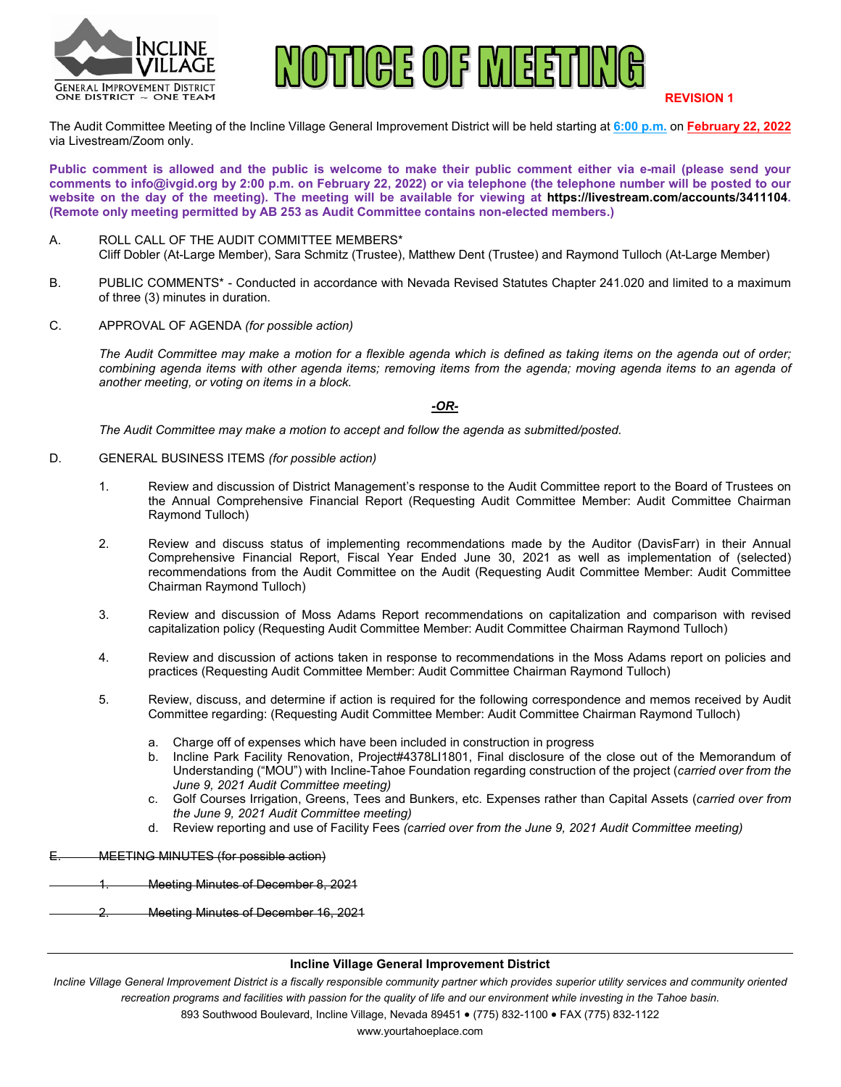



**REVISION 1**

The Audit Committee Meeting of the Incline Village General Improvement District will be held starting at **6:00 p.m.** on **February 22, 2022** via Livestream/Zoom only.

**Public comment is allowed and the public is welcome to make their public comment either via e-mail (please send your comments to info@ivgid.org by 2:00 p.m. on February 22, 2022) or via telephone (the telephone number will be posted to our website on the day of the meeting). The meeting will be available for viewing at https://livestream.com/accounts/3411104. (Remote only meeting permitted by AB 253 as Audit Committee contains non-elected members.)**

- A. ROLL CALL OF THE AUDIT COMMITTEE MEMBERS\* Cliff Dobler (At-Large Member), Sara Schmitz (Trustee), Matthew Dent (Trustee) and Raymond Tulloch (At-Large Member)
- B. PUBLIC COMMENTS\* Conducted in accordance with Nevada Revised Statutes Chapter 241.020 and limited to a maximum of three (3) minutes in duration.
- C. APPROVAL OF AGENDA *(for possible action)*

*The Audit Committee may make a motion for a flexible agenda which is defined as taking items on the agenda out of order; combining agenda items with other agenda items; removing items from the agenda; moving agenda items to an agenda of another meeting, or voting on items in a block.*

*-OR-*

*The Audit Committee may make a motion to accept and follow the agenda as submitted/posted.*

- D. GENERAL BUSINESS ITEMS *(for possible action)*
	- 1. Review and discussion of District Management's response to the Audit Committee report to the Board of Trustees on the Annual Comprehensive Financial Report (Requesting Audit Committee Member: Audit Committee Chairman Raymond Tulloch)
	- 2. Review and discuss status of implementing recommendations made by the Auditor (DavisFarr) in their Annual Comprehensive Financial Report, Fiscal Year Ended June 30, 2021 as well as implementation of (selected) recommendations from the Audit Committee on the Audit (Requesting Audit Committee Member: Audit Committee Chairman Raymond Tulloch)
	- 3. Review and discussion of Moss Adams Report recommendations on capitalization and comparison with revised capitalization policy (Requesting Audit Committee Member: Audit Committee Chairman Raymond Tulloch)
	- 4. Review and discussion of actions taken in response to recommendations in the Moss Adams report on policies and practices (Requesting Audit Committee Member: Audit Committee Chairman Raymond Tulloch)
	- 5. Review, discuss, and determine if action is required for the following correspondence and memos received by Audit Committee regarding: (Requesting Audit Committee Member: Audit Committee Chairman Raymond Tulloch)
		- a. Charge off of expenses which have been included in construction in progress
		- b. Incline Park Facility Renovation, Project#4378LI1801, Final disclosure of the close out of the Memorandum of Understanding ("MOU") with Incline-Tahoe Foundation regarding construction of the project (*carried over from the June 9, 2021 Audit Committee meeting)*
		- c. Golf Courses Irrigation, Greens, Tees and Bunkers, etc. Expenses rather than Capital Assets (*carried over from the June 9, 2021 Audit Committee meeting)*
		- d. Review reporting and use of Facility Fees *(carried over from the June 9, 2021 Audit Committee meeting)*

**MEETING MINUTES (for possible action)** 

1. Meeting Minutes of December 8, 2021

2. Meeting Minutes of December 16, 2021

#### **Incline Village General Improvement District**

*Incline Village General Improvement District is a fiscally responsible community partner which provides superior utility services and community oriented recreation programs and facilities with passion for the quality of life and our environment while investing in the Tahoe basin.*

893 Southwood Boulevard, Incline Village, Nevada 89451 • (775) 832-1100 • FAX (775) 832-1122

www.yourtahoeplace.com